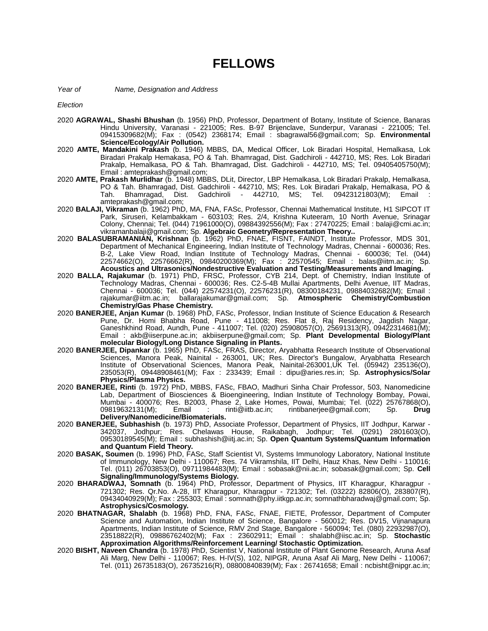## **FELLOWS**

*Year of Name, Designation and Address*

*Election*

- 2020 **AGRAWAL, Shashi Bhushan** (b. 1956) PhD, Professor, Department of Botany, Institute of Science, Banaras Hindu University, Varanasi - 221005; Res. B-97 Brijenclave, Sunderpur, Varanasi - 221005; Tel. 09415309682(M); Fax : (0542) 2368174; Email : sbagrawal56@gmail.com; Sp. **Environmental Science/Ecology/Air Pollution.**
- 2020 **AMTE, Mandakini Prakash** (b. 1946) MBBS, DA, Medical Officer, Lok Biradari Hospital, Hemalkasa, Lok Biradari Prakalp Hemakasa, PO & Tah. Bhamragad, Dist. Gadchiroli - 442710, MS; Res. Lok Biradari Prakalp, Hemalkasa, PO & Tah. Bhamragad, Dist. Gadchiroli - 442710, MS; Tel. 09405405750(M); Email : amteprakash@gmail.com;
- 2020 **AMTE, Prakash Murlidhar** (b. 1948) MBBS, DLit, Director, LBP Hemalkasa, Lok Biradari Prakalp, Hemalkasa, PO & Tah. Bhamragad, Dist. Gadchiroli - 442710, MS; Res. Lok Biradari Prakalp, Hemalkasa, PO & Tah. Bhamragad, Dist. Gadchiroli - 442710, MS; Tel. 09423121803(M); Email : amteprakash@gmail.com;
- 2020 **BALAJI, Vikraman** (b. 1962) PhD, MA, FNA, FASc, Professor, Chennai Mathematical Institute, H1 SIPCOT IT Park, Siruseri, Kelambakkam - 603103; Res. 2/4, Krishna Kuteeram, 10 North Avenue, Srinagar Colony, Chennai; Tel. (044) 71961000(O), 09884392556(M); Fax : 27470225; Email : balaji@cmi.ac.in; vikramanbalaji@gmail.com; Sp. **Algebraic Geometry/Representation Theory..**
- 2020 **BALASUBRAMANIAN, Krishnan** (b. 1962) PhD, FNAE, FISNT, FAINDT, Institute Professor, MDS 301, Department of Mechanical Engineering, Indian Institute of Technology Madras, Chennai - 600036; Res. B-2, Lake View Road, Indian Institute of Technology Madras, Chennai - 600036; Tel. (044) 22574662(O), 22576662(R), 09840200369(M); Fax : 22570545; Email : balas@iitm.ac.in; Sp. **Acoustics and Ultrasonics/Nondestructive Evaluation and Testing/Measurements and Imaging.**
- 2020 **BALLA, Rajakumar** (b. 1971) PhD, FRSC, Professor, CYB 214, Dept. of Chemistry, Indian Institute of Technology Madras, Chennai - 600036; Res. C2-5-4B Mullai Apartments, Delhi Avenue, IIT Madras, Chennai - 600036; Tel. (044) 22574231(O), 22576231(R), 08300184231, 09884032682(M); Email : rajakumar@iitm.ac.in; ballarajakumar@gmail.com; Sp. **Atmospheric Chemistry/Combustion Chemistry/Gas Phase Chemistry.**
- 2020 **BANERJEE, Anjan Kumar** (b. 1968) PhD, FASc, Professor, Indian Institute of Science Education & Research Pune, Dr. Homi Bhabha Road, Pune - 411008; Res. Flat 8, Raj Residency, Jagdish Nagar, Ganeshkhind Road, Aundh, Pune - 411007; Tel. (020) 25908057(O), 25691313(R), 09422314681(M); Email : akb@iiserpune.ac.in; akbiiserpune@gmail.com; Sp. **Plant Developmental Biology/Plant molecular Biology/Long Distance Signaling in Plants.**
- 2020 **BANERJEE, Dipankar** (b. 1965) PhD, FASc, FRAS, Director, Aryabhatta Research Institute of Observational Sciences, Manora Peak, Nainital - 263001, UK; Res. Director's Bungalow, Aryabhatta Research Institute of Observational Sciences, Manora Peak, Nainital-263001,UK Tel. (05942) 235136(O), 235053(R), 09448908461(M); Fax : 233439; Email : dipu@aries.res.in; Sp. **Astrophysics/Solar Physics/Plasma Physics.**
- 2020 **BANERJEE, Rinti** (b. 1972) PhD, MBBS, FASc, FBAO, Madhuri Sinha Chair Professor, 503, Nanomedicine Lab, Department of Biosciences & Bioengineering, Indian Institute of Technology Bombay, Powai, Mumbai - 400076; Res. B2003, Phase 2, Lake Homes, Powai, Mumbai; Tel. (022) 25767868(O),<br>09819632131(M); Email : rinti@iitb.ac.in; rintibanerjee@gmail.com; Sp. **Drug** 09819632131(M); Email : rinti@iitb.ac.in; rintibanerjee@gmail.com; Sp. **Drug Delivery/Nanomedicine/Biomaterials.**
- 2020 **BANERJEE, Subhashish** (b. 1973) PhD, Associate Professor, Department of Physics, IIT Jodhpur, Karwar 342037, Jodhpur; Res. Chelawas House, Raikabagh, Jodhpur; Tel. (0291) 2801603(O), 09530189545(M); Email : subhashish@iitj.ac.in; Sp. **Open Quantum Systems/Quantum Information and Quantum Field Theory.**
- 2020 **BASAK, Soumen** (b. 1996) PhD, FASc, Staff Scientist VI, Systems Immunology Laboratory, National Institute of Immunology, New Delhi - 110067; Res. 74 Vikramshila, IIT Delhi, Hauz Khas, New Delhi - 110016; Tel. (011) 26703853(O), 09711984483(M); Email : sobasak@nii.ac.in; sobasak@gmail.com; Sp. **Cell Signaling/Immunology/Systems Biology.**
- 2020 **BHARADWAJ, Somnath** (b. 1964) PhD, Professor, Department of Physics, IIT Kharagpur, Kharagpur 721302; Res. Qr.No. A-28, IIT Kharagpur, Kharagpur - 721302; Tel. (03222) 82806(O), 283807(R), 09434040929(M); Fax : 255303; Email : somnath@phy.iitkgp.ac.in; somnathbharadwaj@gmail.com; Sp. **Astrophysics/Cosmology.**
- 2020 **BHATNAGAR, Shalabh** (b. 1968) PhD, FNA, FASc, FNAE, FIETE, Professor, Department of Computer Science and Automation, Indian Institute of Science, Bangalore - 560012; Res. DV15, Vijnanapura Apartments, Indian Institute of Science, RMV 2nd Stage, Bangalore - 560094; Tel. (080) 22932987(O), 23518822(R), 09886762402(M); Fax : 23602911; Email : shalabh@iisc.ac.in; Sp. **Stochastic Approximation Algorithms/Reinforcement Learning/ Stochastic Optimization.**
- 2020 **BISHT, Naveen Chandra** (b. 1978) PhD, Scientist V, National Institute of Plant Genome Research, Aruna Asaf Ali Marg, New Delhi - 110067; Res. H-IV(S), 102, NIPGR, Aruna Asaf Ali Marg, New Delhi - 110067; Tel. (011) 26735183(O), 26735216(R), 08800840839(M); Fax : 26741658; Email : ncbisht@nipgr.ac.in;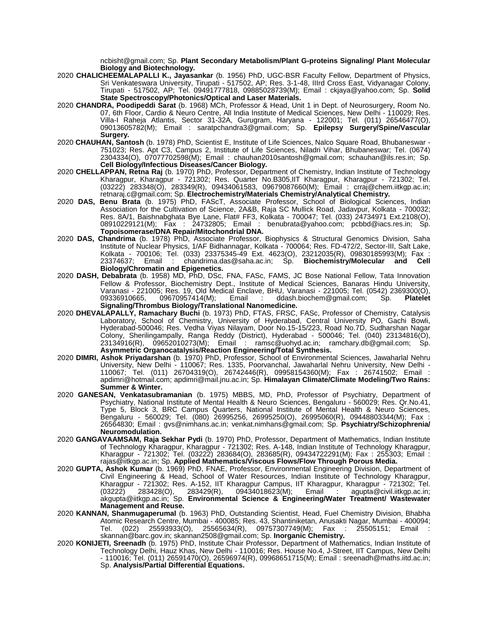ncbisht@gmail.com; Sp. **Plant Secondary Metabolism/Plant G-proteins Signaling/ Plant Molecular Biology and Biotechnology.** 

- 2020 **CHALICHEEMALAPALLI K., Jayasankar** (b. 1956) PhD, UGC-BSR Faculty Fellow, Department of Physics, Sri Venkateswara University, Tirupati - 517502, AP; Res. 3-1-48, IIIrd Cross East, Vidyanagar Colony, Tirupati - 517502, AP; Tel. 09491777818, 09885028739(M); Email : ckjaya@yahoo.com; Sp. **Solid State Spectroscopy/Photonics/Optical and Laser Materials.**
- 2020 **CHANDRA, Poodipeddi Sarat** (b. 1968) MCh, Professor & Head, Unit 1 in Dept. of Neurosurgery, Room No. 07, 6th Floor, Cardio & Neuro Centre, All India Institute of Medical Sciences, New Delhi - 110029; Res. Villa-I Raheja Atlantis, Sector 31-32A, Gurugram, Haryana - 122001; Tel. (011) 26546477(O), 09013605782(M); Email : saratpchandra3@gmail.com; Sp. **Epilepsy Surgery/Spine/Vascular Surgery.**
- 2020 **CHAUHAN, Santosh** (b. 1978) PhD, Scientist E, Institute of Life Sciences, Nalco Square Road, Bhubaneswar 751023; Res. Apt C3, Campus 2, Institute of Life Sciences, Niladri Vihar, Bhubaneswar; Tel. (0674) 2304334(O), 07077702598(M); Email : chauhan2010santosh@gmail.com; schauhan@ils.res.in; Sp. **Cell Biology/Infectious Diseases/Cancer Biology.**
- 2020 **CHELLAPPAN, Retna Raj** (b. 1970) PhD, Professor, Department of Chemistry, Indian Institute of Technology Kharagpur, Kharagpur - 721302; Res. Quarter No.B305,IIT Kharagpur, Kharagpur - 721302; Tel. (03222) 283348(O), 283349(R), 09434061583, 09679087660(M); Email : crraj@chem.iitkgp.ac.in; retnaraj.c@gmail.com; Sp. **Electrochemistry/Materials Chemistry/Analytical Chemistry.**
- 2020 **DAS, Benu Brata** (b. 1975) PhD, FAScT, Associate Professor, School of Biological Sciences, Indian Association for the Cultivation of Science, 2A&B, Raja SC Mullick Road, Jadavpur, Kolkata - 700032; Res. 8A/1, Baishnabghata Bye Lane, Flat# FF3, Kolkata - 700047; Tel. (033) 24734971 Ext.2108(O), 08910229121(M); Fax : 24732805; Email : benubrata@yahoo.com; pcbbd@iacs.res.in; Sp. 08910229121(M); Fax : 24732805; Email : benubrata@yahoo.com; pcbbd@iacs.res.in; Sp.<br>**Topoisomerase/DNA Repair/Mitochondrial DNA.**
- 2020 **DAS, Chandrima** (b. 1978) PhD, Associate Professor, Biophysics & Structural Genomics Division, Saha Institute of Nuclear Physics, 1/AF Bidhannagar, Kolkata - 700064; Res. FD-472/2, Sector-III, Salt Lake, Kolkata - 700106; Tel. (033) 23375345-49 Ext. 4623(O), 23212035(R), 09830185993(M); Fax : chandrima.das@saha.ac.in; Sp. **Biochemistry/Molecular Biology/Chromatin and Epigenetics.**
- 2020 **DASH, Debabrata** (b. 1958) MD, PhD, DSc, FNA, FASc, FAMS, JC Bose National Fellow, Tata Innovation Fellow & Professor, Biochemistry Dept., Institute of Medical Sciences, Banaras Hindu University, Varanasi - 221005; Res. 19, Old Medical Enclave, BHU, Varanasi - 221005; Tel. (0542) 2369300(O), 09336910665, 09670957414(M); Email : ddash.biochem@gmail.com; Sp. **Platelet Signaling/Thrombus Biology/Translational Nanomedicine.**
- 2020 **DHEVALAPALLY, Ramachary Buchi** (b. 1973) PhD, FTAS, FRSC, FASc, Professor of Chemistry, Catalysis Laboratory, School of Chemistry, University of Hyderabad, Central University PO, Gachi Bowli, Hyderabad-500046; Res. Vedha Viyas Nilayam, Door No.15-15/223, Road No.7D, Sudharshan Nagar Colony, Sherilingampally, Ranga Reddy (District), Hyderabad - 500046; Tel. (040) 23134816(O), 23134916(R), 09652010273(M); Email : ramsc@uohyd.ac.in; ramchary.db@gmail.com; Sp. **Asymmetric Organocatalysis/Reaction Engineering/Total Synthesis.**
- 2020 **DIMRI, Ashok Priyadarshan** (b. 1970) PhD, Professor, School of Environmental Sciences, Jawaharlal Nehru University, New Delhi - 110067; Res. 1335, Poorvanchal, Jawaharlal Nehru University, New Delhi -110067; Tel. (011) 26704319(O), 26742446(R), 09958154360(M); Fax : 26741502; Email : apdimri@hotmail.com; apdimri@mail.jnu.ac.in; Sp. **Himalayan Climate/Climate Modeling/Two Rains: Summer & Winter.**
- 2020 **GANESAN, Venkatasubramanian** (b. 1975) MBBS, MD, PhD, Professor of Psychiatry, Department of Psychiatry, National Institute of Mental Health & Neuro Sciences, Bengaluru - 560029; Res. Qr.No.41, Type 5, Block 3, BRC Campus Quarters, National Institute of Mental Health & Neuro Sciences, Bengaluru - 560029; Tel. (080) 26995256, 26995250(O), 26995060(R), 09448803344(M); Fax : 26564830; Email : gvs@nimhans.ac.in; venkat.nimhans@gmail.com; Sp. **Psychiatry/Schizophrenia/ Neuromodulation.**
- 2020 **GANGAVAAMSAM, Raja Sekhar Pydi** (b. 1970) PhD, Professor, Department of Mathematics, Indian Institute of Technology Kharagpur, Kharagpur - 721302; Res. A-148, Indian Institute of Technology Kharagpur, Kharagpur - 721302; Tel. (03222) 283684(O), 283685(R), 09434722291(M); Fax : 255303; Email : rajas@iitkgp.ac.in; Sp. **Applied Mathematics/Viscous Flows/Flow Through Porous Media.**
- 2020 **GUPTA, Ashok Kumar** (b. 1969) PhD, FNAE, Professor, Environmental Engineering Division, Department of Civil Engineering & Head, School of Water Resources, Indian Institute of Technology Kharagpur, Kharagpur - 721302; Res. A-152, IIT Kharagpur Campus, IIT Kharagpur, Kharagpur - 721302; Tel.<br>(03222) 283428(O), 283429(R), 09434018623(M); Email : agupta@civil.iitkgp.ac.in; Email : agupta@civil.iitkgp.ac.in; akgupta@iitkgp.ac.in; Sp. **Environmental Science & Engineering/Water Treatment/ Wastewater Management and Reuse.**
- 2020 **KANNAN, Shanmugaperumal** (b. 1963) PhD, Outstanding Scientist, Head, Fuel Chemistry Division, Bhabha Atomic Research Centre, Mumbai - 400085; Res. 43, Shantiniketan, Anusakti Nagar, Mumbai - 400094; Tel. (022) 25593933(O), 25565634(R), 09757307749(M); Fax : 25505151; Email : skannan@barc.gov.in; skannan2508@gmail.com; Sp. **Inorganic Chemistry.**
- 2020 **KONIJETI, Sreenadh** (b. 1975) PhD, Institute Chair Professor, Department of Mathematics, Indian Institute of Technology Delhi, Hauz Khas, New Delhi - 110016; Res. House No.4, J-Street, IIT Campus, New Delhi - 110016; Tel. (011) 26591470(O), 26596974(R), 09968651715(M); Email : sreenadh@maths.iitd.ac.in; Sp. **Analysis/Partial Differential Equations.**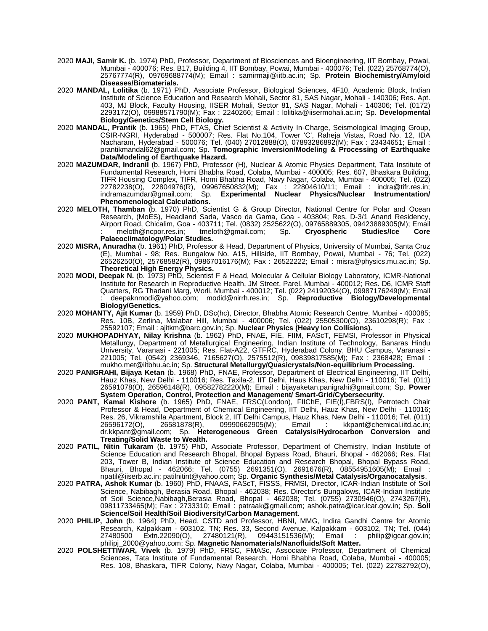- 2020 **MAJI, Samir K.** (b. 1974) PhD, Professor, Department of Biosciences and Bioengineering, IIT Bombay, Powai, Mumbai - 400076; Res. B17, Building 4, IIT Bombay, Powai, Mumbai - 400076; Tel. (022) 25768774(O), 25767774(R), 09769688774(M); Email : samirmaji@iitb.ac.in; Sp. **Protein Biochemistry/Amyloid Diseases/Biomaterials.**
- 2020 **MANDAL, Lolitika** (b. 1971) PhD, Associate Professor, Biological Sciences, 4F10, Academic Block, Indian Institute of Science Education and Research Mohali, Sector 81, SAS Nagar, Mohali - 140306; Res. Apt. 403, MJ Block, Faculty Housing, IISER Mohali, Sector 81, SAS Nagar, Mohali - 140306; Tel. (0172) 2293172(O), 09988571790(M); Fax : 2240266; Email : lolitika@iisermohali.ac.in; Sp. **Developmental Biology/Genetics/Stem Cell Biology.**
- 2020 **MANDAL, Prantik** (b. 1965) PhD, FTAS, Chief Scientist & Activity In-Charge, Seismological Imaging Group, CSIR-NGRI, Hyderabad - 500007; Res. Flat No.104, Tower 'C', Raheja Vistas, Road No. 12, IDA Nacharam, Hyderabad - 500076; Tel. (040) 27012888(O), 07893286892(M); Fax : 23434651; Email : prantikmandal62@gmail.com; Sp. **Tomographic Inversion/Modeling & Processing of Earthquake Data/Modeling of Earthquake Hazard.**
- 2020 **MAZUMDAR, Indranil** (b. 1967) PhD, Professor (H), Nuclear & Atomic Physics Department, Tata Institute of Fundamental Research, Homi Bhabha Road, Colaba, Mumbai - 400005; Res. 607, Bhaskara Building, TIFR Housing Complex, TIFR, Homi Bhabha Road, Navy Nagar, Colaba, Mumbai - 400005; Tel. (022) 22782238(O), 22804976(R), 09967650832(M); Fax : 22804610/11; Email : indra@tifr.res.in; indramazumdar@gmail.com; Sp. **Experimental Nuclear Physics/Nuclear Instrumentation/ Phenomenological Calculations.**
- 2020 **MELOTH, Thamban** (b. 1970) PhD, Scientist G & Group Director, National Centre for Polar and Ocean Research, (MoES), Headland Sada, Vasco da Gama, Goa - 403804; Res. D-3/1 Anand Residency, Airport Road, Chicalim, Goa - 403711; Tel. (0832) 2525622(O), 09765889305, 09423889305(M); Email<br>: meloth@ncpor.res.in; tmeloth@gmail.com; Sp. **Cryospheric Studies/Ice Core** tmeloth@gmail.com; **Palaeoclimatology/Polar Studies.**
- 2020 **MISRA, Anuradha** (b. 1961) PhD, Professor & Head, Department of Physics, University of Mumbai, Santa Cruz (E), Mumbai - 98; Res. Bungalow No. A15, Hillside, IIT Bombay, Powai, Mumbai - 76; Tel. (022) 26526250(O), 25768582(R), 09867016176(M); Fax : 26522222; Email : misra@physics.mu.ac.in; Sp. **Theoretical High Energy Physics.**
- 2020 **MODI, Deepak N.** (b. 1973) PhD, Scientist F & Head, Molecular & Cellular Biology Laboratory, ICMR-National Institute for Research in Reproductive Health, JM Street, Parel, Mumbai - 400012; Res. D6, ICMR Staff Quarters, RG Thadani Marg, Worli, Mumbai - 400012; Tel. (022) 24192034(O), 09987176249(M); Email : deepaknmodi@yahoo.com; modid@nirrh.res.in; Sp. **Reproductive Biology/Developmental Biology/Genetics.**
- 2020 **MOHANTY, Ajit Kumar** (b. 1959) PhD, DSc(hc), Director, Bhabha Atomic Research Centre, Mumbai 400085; Res. 10B, Zerlina, Malabar Hill, Mumbai - 400006; Tel. (022) 25505300(O), 23610298(R); Fax : 25592107; Email : ajitkm@barc.gov.in; Sp. **Nuclear Physics (Heavy Ion Collisions).**
- 2020 **MUKHOPADHYAY, Nilay Krishna** (b. 1962) PhD, FNAE, FIE, FIIM, FAScT, FEMSI, Professor in Physical Metallurgy, Department of Metallurgical Engineering, Indian Institute of Technology, Banaras Hindu University, Varanasi - 221005; Res. Flat-A22, GTFRC, Hyderabad Colony, BHU Campus, Varanasi - 221005; Tel. (0542) 2369346, 7165627(O), 2575512(R), 09839817585(M); Fax : 2368428; Email : mukho.met@iitbhu.ac.in; Sp. **Structural Metallurgy/Quasicrystals/Non-equilibrium Processing.**
- 2020 **PANIGRAHI, Bijaya Ketan** (b. 1968) PhD, FNAE, Professor, Department of Electrical Engineering, IIT Delhi, Hauz Khas, New Delhi - 110016; Res. Taxila-2, IIT Delhi, Haus Khas, New Delhi - 110016; Tel. (011) 26591078(O), 26596148(R), 09582782220(M); Email : bijayaketan.panigrahi@gmail.com; Sp. **Power System Operation, Control, Protection and Management/ Smart-Grid/Cybersecurity.**
- 2020 **PANT, Kamal Kishore** (b. 1965) PhD, FNAE, FRSC(London), FIIChE, FIE(I),FBRS(I), Petrotech Chair Professor & Head, Department of Chemical Engineering, IIT Delhi, Hauz Khas, New Delhi - 110016; Res. 26, Vikramshila Apartment, Block 2, IIT Delhi Campus, Hauz Khas, New Delhi - 110016; Tel. (011) 26596172(O), 26581878(R), 09990662905(M); Email : kkpant@chemical.iitd.ac.in; dr.kkpant@gmail.com; Sp. **Heterogeneous Green Catalysis/Hydrocarbon Conversion and Treating/Solid Waste to Wealth.**
- 2020 **PATIL, Nitin Tukaram** (b. 1975) PhD, Associate Professor, Department of Chemistry, Indian Institute of Science Education and Research Bhopal, Bhopal Bypass Road, Bhauri, Bhopal - 462066; Res. Flat 203, Tower B, Indian Institute of Science Education and Research Bhopal, Bhopal Bypass Road, Bhauri, Bhopal - 462066; Tel. (0755) 2691351(O), 2691676(R), 08554951605(M); Email : npatil@iiserb.ac.in; patilnitint@yahoo.com; Sp. **Organic Synthesis/Metal Catalysis/Organocatalysis**.
- 2020 **PATRA, Ashok Kumar** (b. 1960) PhD, FNAAS, FAScT, FISSS, FRMSI, Director, ICAR-Indian Institute of Soil Science, Nabibagh, Berasia Road, Bhopal - 462038; Res. Director's Bungalows, ICAR-Indian Institute of Soil Science,Nabibagh,Berasia Road, Bhopal - 462038; Tel. (0755) 2730946(O), 2743267(R), 09811733465(M); Fax : 2733310; Email : patraak@gmail.com; ashok.patra@icar.icar.gov.in; Sp. **Soil Science/Soil Health/Soil Biodiversity/Carbon Management**.
- 2020 **PHILIP, John** (b. 1964) PhD, Head, CSTD and Professor, HBNI, MMG, Indira Gandhi Centre for Atomic Research, Kalpakkam - 603102, TN; Res. 33, Second Avenue, Kalpakkam - 603102, TN; Tel. (044) 27480500 Extn.22090(O), 27480121(R), 09443151536(M); Email : philip@igcar.gov.in; philipj\_2000@yahoo.com; Sp. **Magnetic Nanomaterials/Nanofluids/Soft Matter.**
- 2020 **POLSHETTIWAR, Vivek** (b. 1979) PhD, FRSC, FMASc, Associate Professor, Department of Chemical Sciences, Tata Institute of Fundamental Research, Homi Bhabha Road, Colaba, Mumbai - 400005; Res. 108, Bhaskara, TIFR Colony, Navy Nagar, Colaba, Mumbai - 400005; Tel. (022) 22782792(O),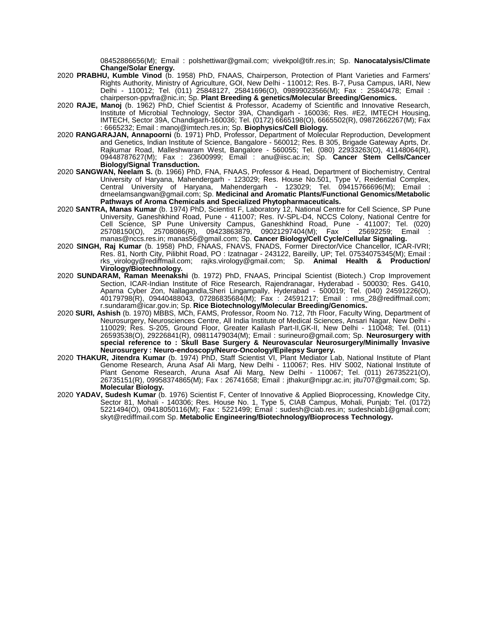08452886656(M); Email : polshettiwar@gmail.com; vivekpol@tifr.res.in; Sp. **Nanocatalysis/Climate Change/Solar Energy.** 

- 2020 **PRABHU, Kumble Vinod** (b. 1958) PhD, FNAAS, Chairperson, Protection of Plant Varieties and Farmers' Rights Authority, Ministry of Agriculture, GOI, New Delhi - 110012; Res. B-7, Pusa Campus, IARI, New Delhi - 110012; Tel. (011) 25848127, 25841696(O), 09899023566(M); Fax : 25840478; Email : chairperson-ppvfra@nic.in; Sp. **Plant Breeding & genetics/Molecular Breeding/Genomics.**
- 2020 **RAJE, Manoj** (b. 1962) PhD, Chief Scientist & Professor, Academy of Scientific and Innovative Research, Institute of Microbial Technology, Sector 39A, Chandigarh - 160036; Res. #E2, IMTECH Housing, IMTECH, Sector 39A, Chandigarh-160036; Tel. (0172) 6665198(O), 6665502(R), 09872662267(M); Fax : 6665232; Email : manoj@imtech.res.in; Sp. **Biophysics/Cell Biology.**
- 2020 **RANGARAJAN, Annapoorni** (b. 1971) PhD, Professor, Department of Molecular Reproduction, Development and Genetics, Indian Institute of Science, Bangalore - 560012; Res. B 305, Brigade Gateway Aprts, Dr. Rajkumar Road, Malleshwaram West, Bangalore - 560055; Tel. (080) 22933263(O), 41148064(R), 09448787627(M); Fax : 23600999; Email : anu@iisc.ac.in; Sp. **Cancer Stem Cells/Cancer Biology/Signal Transduction.**
- 2020 **SANGWAN, Neelam S.** (b. 1966) PhD, FNA, FNAAS, Professor & Head, Department of Biochemistry, Central University of Haryana, Mahendergarh - 123029; Res. House No.501, Type V, Reidential Complex, Central University of Haryana, Mahendergarh - 123029; Tel. 09415766696(M); Email : drneelamsangwan@gmail.com; Sp. **Medicinal and Aromatic Plants/Functional Genomics/Metabolic Pathways of Aroma Chemicals and Specialized Phytopharmaceuticals.**
- 2020 **SANTRA, Manas Kumar** (b. 1974) PhD, Scientist F, Laboratory 12, National Centre for Cell Science, SP Pune University, Ganeshkhind Road, Pune - 411007; Res. IV-SPL-D4, NCCS Colony, National Centre for Cell Science, SP Pune University Campus, Ganeshkhind Road, Pune - 411007; Tel. (020) 25708150(O), 25708086(R), 09423863879, 09021297404(M); Fax : 25692259; Email : manas@nccs.res.in; manas56@gmail.com; Sp. **Cancer Biology/Cell Cycle/Cellular Signaling.**
- 2020 **SINGH, Raj Kumar** (b. 1958) PhD, FNAAS, FNAVS, FNADS, Former Director/Vice Chancellor, ICAR-IVRI; Res. 81, North City, Pilibhit Road, PO : Izatnagar - 243122, Bareilly, UP; Tel. 07534075345(M); Email : rks\_virology@rediffmail.com; rajks.virology@gmail.com; Sp. **Animal Health & Production/ Virology/Biotechnology.**
- 2020 **SUNDARAM, Raman Meenakshi** (b. 1972) PhD, FNAAS, Principal Scientist (Biotech.) Crop Improvement Section, ICAR-Indian Institute of Rice Research, Rajendranagar, Hyderabad - 500030; Res. G410, Aparna Cyber Zon, Nallagandla,Sheri Lingampally, Hyderabad - 500019; Tel. (040) 24591226(O), 40179798(R), 09440488043, 07286835684(M); Fax : 24591217; Email : rms\_28@rediffmail.com; r.sundaram@icar.gov.in; Sp. **Rice Biotechnology/Molecular Breeding/Genomics.**
- 2020 **SURI, Ashish** (b. 1970) MBBS, MCh, FAMS, Professor, Room No. 712, 7th Floor, Faculty Wing, Department of Neurosurgery, Neurosciences Centre, All India Institute of Medical Sciences, Ansari Nagar, New Delhi - 110029; Res. S-205, Ground Floor, Greater Kailash Part-II,GK-II, New Delhi - 110048; Tel. (011) 26593538(O), 29226841(R), 09811479034(M); Email : surineuro@gmail.com; Sp. **Neurosurgery with special reference to : Skull Base Surgery & Neurovascular Neurosurgery/Minimally Invasive Neurosurgery : Neuro-endoscopy/Neuro-Oncology/Epilepsy Surgery.**
- 2020 **THAKUR, Jitendra Kumar** (b. 1974) PhD, Staff Scientist VI, Plant Mediator Lab, National Institute of Plant Genome Research, Aruna Asaf Ali Marg, New Delhi - 110067; Res. HIV S002, National Institute of Plant Genome Research, Aruna Asaf Ali Marg, New Delhi - 110067; Tel. (011) 26735221(O), 26735151(R), 09958374865(M); Fax : 26741658; Email : jthakur@nipgr.ac.in; jitu707@gmail.com; Sp. **Molecular Biology.**
- 2020 **YADAV, Sudesh Kumar** (b. 1976) Scientist F, Center of Innovative & Applied Bioprocessing, Knowledge City, Sector 81, Mohali - 140306; Res. House No. 1, Type 5, CIAB Campus, Mohali, Punjab; Tel. (0172) 5221494(O), 09418050116(M); Fax : 5221499; Email : sudesh@ciab.res.in; sudeshciab1@gmail.com; skyt@rediffmail.com Sp. **Metabolic Engineering/Biotechnology/Bioprocess Technology.**